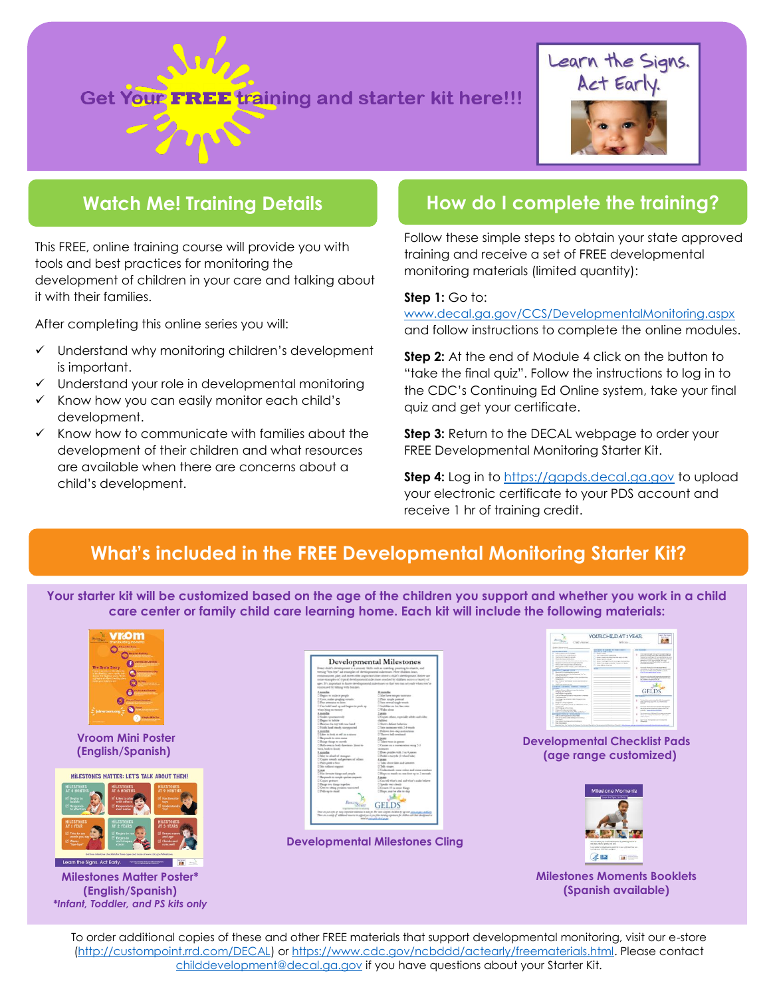# Get Your FREE training and starter kit here!!!



## **Watch Me! Training Details**

This FREE, online training course will provide you with tools and best practices for monitoring the development of children in your care and talking about it with their families.

After completing this online series you will:

- ✓ Understand why monitoring children's development is important.
- Understand your role in developmental monitoring
- ✓ Know how you can easily monitor each child's development.
- ✓ Know how to communicate with families about the development of their children and what resources are available when there are concerns about a child's development.

### **How do I complete the training?**

Follow these simple steps to obtain your state approved training and receive a set of FREE developmental monitoring materials (limited quantity):

#### **Step 1:** Go to:

[www.decal.ga.gov/CCS/DevelopmentalMonitoring.aspx](http://www.decal.ga.gov/CCS/DevelopmentalMonitoring.aspx) and follow instructions to complete the online modules.

**Step 2:** At the end of Module 4 click on the button to "take the final quiz". Follow the instructions to log in to the CDC's Continuing Ed Online system, take your final quiz and get your certificate.

**Step 3:** Return to the DECAL webpage to order your FREE Developmental Monitoring Starter Kit.

**Step 4:** Log in to [https://gapds.decal.ga.gov](https://gapds.decal.ga.gov/) to upload your electronic certificate to your PDS account and receive 1 hr of training credit.

### **What's included in the FREE Developmental Monitoring Starter Kit?**

**Your starter kit will be customized based on the age of the children you support and whether you work in a child care center or family child care learning home. Each kit will include the following materials:**



**Vroom Mini Poster (English/Spanish)**



**Milestones Matter Poster\* (English/Spanish)** *\*Infant, Toddler, and PS kits only*

|                                                                                                                                                                                                                                                                                                                                                                                                                                                                                                                                                                                                                                                                                                                                                                                                                                                                                       | <b>Developmental Milestones</b>                                                                                                                                                                                                                                                                                                                                                                                                                                                                                                                                                                                                                                                                                                                                                                                                                                |
|---------------------------------------------------------------------------------------------------------------------------------------------------------------------------------------------------------------------------------------------------------------------------------------------------------------------------------------------------------------------------------------------------------------------------------------------------------------------------------------------------------------------------------------------------------------------------------------------------------------------------------------------------------------------------------------------------------------------------------------------------------------------------------------------------------------------------------------------------------------------------------------|----------------------------------------------------------------------------------------------------------------------------------------------------------------------------------------------------------------------------------------------------------------------------------------------------------------------------------------------------------------------------------------------------------------------------------------------------------------------------------------------------------------------------------------------------------------------------------------------------------------------------------------------------------------------------------------------------------------------------------------------------------------------------------------------------------------------------------------------------------------|
| Every shild's development is a journey. Skills such as corefung, pointing to obserts, and<br>wering "hee-lew" are examples of developmental substitues. How children learn,<br>concept by taking with facilies.                                                                                                                                                                                                                                                                                                                                                                                                                                                                                                                                                                                                                                                                       | commissione, play and more offic important close about a child's development. Below not<br>some examples of typical detelopmental milestones anothed by children amous a vaciety of<br>ages. It's approvant to huore developmental milestones so that you can act sudy when you're                                                                                                                                                                                                                                                                                                                                                                                                                                                                                                                                                                             |
| Znamska<br>O Begin to smle at people<br>C Conc. realers graphing rowads<br>2 Pers attention to Juine<br>C Can look! hand (gr and begins to prods (gr<br>when hing on trenors<br><b><i><u>tambe</u></i></b><br>C Soder sportscenedy<br>C Began to Indduke<br>C Benches for nor with now head.<br>C Holds land steak, nampported<br><b>1</b> terminal<br>C Libra to look at self as a manner<br>C Responds to own some<br>C Baings theags to movels<br>C Rolls over as both directions (fount to<br>back, back to finest<br>9 roombs<br>C like he aloud of vivangers<br>C Copies votable and germany of veloces<br>C Plan prek e-box<br>C Sin midwest segurier.<br><b>L</b> uns<br>C Has forecase things and people<br>C Bergesub to simple spokes requests<br>C Copies geometry<br>C Bacqo Nvo thaqu together<br>C Gate to sitting prosters reserving<br>C.Polls up to stand<br>Bescar | 38,000<br>C Mar have temper termines<br>C Plans single panels<br>C Setti network tangle wheels<br>C Smithbles six his line own:<br>C Walks show<br>2xmn<br>C Copies others, repetially adults and older<br>claims<br>C Sheren deGast heligning<br>C Serv nectionner with 3-4 weeks<br>C Pollows two otep instructions<br>C Theory had creatured<br>3. Swanter<br>C Eslac fraze as games<br>C Casum on a conversation ming 2-3<br>seategres<br>C Does precise with 5 or 4 parents<br>2 Pedals a towrole (3-ofteed bake)<br>5,58,83<br>C Talks about likes and interests<br>O'Tello musico<br>C Understands your colors and some manhers<br>C Hoyo or stands on one toot up to 2 seconds<br>5 seins<br>C Can tell what's and and what's analy believe<br>C Speaks vacy clearly<br>O Coracto 10 ou annot things:<br>C Hope; eary he able to ship.<br><b>GELDS</b> |
|                                                                                                                                                                                                                                                                                                                                                                                                                                                                                                                                                                                                                                                                                                                                                                                                                                                                                       | The anjoint has of may reporter with town it look for The new continuing helders by up that appeal and definition<br>Then are a caring of additional insurance to angine trace as one plus deriving experience for children enth than development in                                                                                                                                                                                                                                                                                                                                                                                                                                                                                                                                                                                                           |

**Developmental Milestones Cling**



**Developmental Checklist Pads (age range customized)**



**Milestones Moments Booklets (Spanish available)**

To order additional copies of these and other FREE materials that support developmental monitoring, visit our e-store [\(http://custompoint.rrd.com/DECAL\)](http://custompoint.rrd.com/DECAL) or [https://www.cdc.gov/ncbddd/actearly/freematerials.html.](https://www.cdc.gov/ncbddd/actearly/freematerials.html) Please contact [childdevelopment@decal.ga.gov](mailto:childdevelopment@decal.ga.gov) if you have questions about your Starter Kit.